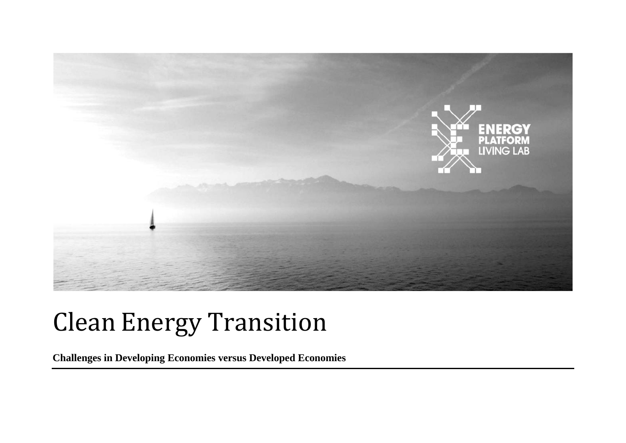

# Clean Energy Transition

**Challenges in Developing Economies versus Developed Economies**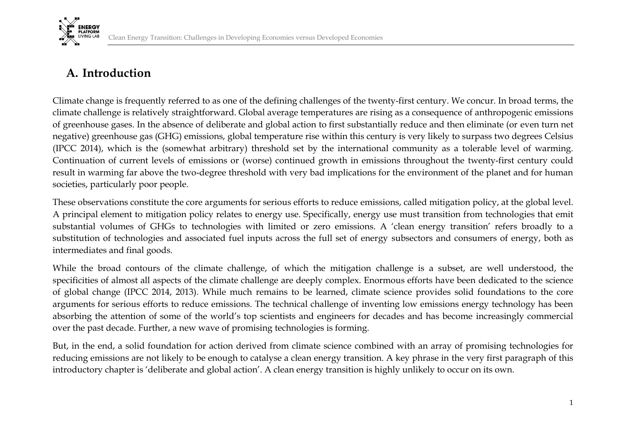

### **A. Introduction**

**ENERGY** 

Climate change is frequently referred to as one of the defining challenges of the twenty-first century. We concur. In broad terms, the climate challenge is relatively straightforward. Global average temperatures are rising as a consequence of anthropogenic emissions of greenhouse gases. In the absence of deliberate and global action to first substantially reduce and then eliminate (or even turn net negative) greenhouse gas (GHG) emissions, global temperature rise within this century is very likely to surpass two degrees Celsius (IPCC 2014), which is the (somewhat arbitrary) threshold set by the international community as a tolerable level of warming. Continuation of current levels of emissions or (worse) continued growth in emissions throughout the twenty-first century could result in warming far above the two-degree threshold with very bad implications for the environment of the planet and for human societies, particularly poor people.

These observations constitute the core arguments for serious efforts to reduce emissions, called mitigation policy, at the global level. A principal element to mitigation policy relates to energy use. Specifically, energy use must transition from technologies that emit substantial volumes of GHGs to technologies with limited or zero emissions. A 'clean energy transition' refers broadly to a substitution of technologies and associated fuel inputs across the full set of energy subsectors and consumers of energy, both as intermediates and final goods.

While the broad contours of the climate challenge, of which the mitigation challenge is a subset, are well understood, the specificities of almost all aspects of the climate challenge are deeply complex. Enormous efforts have been dedicated to the science of global change (IPCC 2014, 2013). While much remains to be learned, climate science provides solid foundations to the core arguments for serious efforts to reduce emissions. The technical challenge of inventing low emissions energy technology has been absorbing the attention of some of the world's top scientists and engineers for decades and has become increasingly commercial over the past decade. Further, a new wave of promising technologies is forming.

But, in the end, a solid foundation for action derived from climate science combined with an array of promising technologies for reducing emissions are not likely to be enough to catalyse a clean energy transition. A key phrase in the very first paragraph of this introductory chapter is 'deliberate and global action'. A clean energy transition is highly unlikely to occur on its own.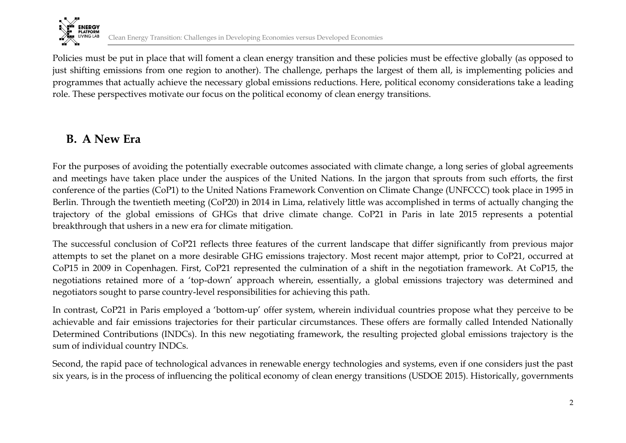

Policies must be put in place that will foment a clean energy transition and these policies must be effective globally (as opposed to just shifting emissions from one region to another). The challenge, perhaps the largest of them all, is implementing policies and programmes that actually achieve the necessary global emissions reductions. Here, political economy considerations take a leading role. These perspectives motivate our focus on the political economy of clean energy transitions.

#### **B. A New Era**

For the purposes of avoiding the potentially execrable outcomes associated with climate change, a long series of global agreements and meetings have taken place under the auspices of the United Nations. In the jargon that sprouts from such efforts, the first conference of the parties (CoP1) to the United Nations Framework Convention on Climate Change (UNFCCC) took place in 1995 in Berlin. Through the twentieth meeting (CoP20) in 2014 in Lima, relatively little was accomplished in terms of actually changing the trajectory of the global emissions of GHGs that drive climate change. CoP21 in Paris in late 2015 represents a potential breakthrough that ushers in a new era for climate mitigation.

The successful conclusion of CoP21 reflects three features of the current landscape that differ significantly from previous major attempts to set the planet on a more desirable GHG emissions trajectory. Most recent major attempt, prior to CoP21, occurred at CoP15 in 2009 in Copenhagen. First, CoP21 represented the culmination of a shift in the negotiation framework. At CoP15, the negotiations retained more of a 'top-down' approach wherein, essentially, a global emissions trajectory was determined and negotiators sought to parse country-level responsibilities for achieving this path.

In contrast, CoP21 in Paris employed a 'bottom-up' offer system, wherein individual countries propose what they perceive to be achievable and fair emissions trajectories for their particular circumstances. These offers are formally called Intended Nationally Determined Contributions (INDCs). In this new negotiating framework, the resulting projected global emissions trajectory is the sum of individual country INDCs.

Second, the rapid pace of technological advances in renewable energy technologies and systems, even if one considers just the past six years, is in the process of influencing the political economy of clean energy transitions (USDOE 2015). Historically, governments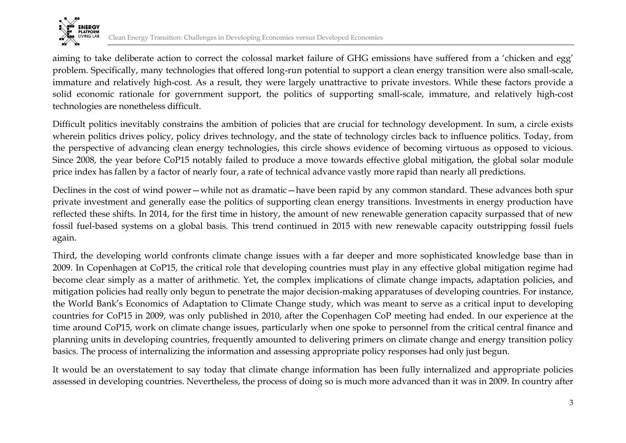

aiming to take deliberate action to correct the colossal market failure of GHG emissions have suffered from a 'chicken and egg' problem. Specifically, many technologies that offered long-run potential to support a clean energy transition were also small-scale, immature and relatively high-cost. As a result, they were largely unattractive to private investors. While these factors provide a solid economic rationale for government support, the politics of supporting small-scale, immature, and relatively high-cost technologies are nonetheless difficult.

Difficult politics inevitably constrains the ambition of policies that are crucial for technology development. In sum, a circle exists wherein politics drives policy, policy drives technology, and the state of technology circles back to influence politics. Today, from the perspective of advancing clean energy technologies, this circle shows evidence of becoming virtuous as opposed to vicious. Since 2008, the year before CoP15 notably failed to produce a move towards effective global mitigation, the global solar module price index has fallen by a factor of nearly four, a rate of technical advance vastly more rapid than nearly all predictions.

Declines in the cost of wind power—while not as dramatic—have been rapid by any common standard. These advances both spur private investment and generally ease the politics of supporting clean energy transitions. Investments in energy production have reflected these shifts. In 2014, for the first time in history, the amount of new renewable generation capacity surpassed that of new fossil fuel-based systems on a global basis. This trend continued in 2015 with new renewable capacity outstripping fossil fuels again.

Third, the developing world confronts climate change issues with a far deeper and more sophisticated knowledge base than in 2009. In Copenhagen at CoP15, the critical role that developing countries must play in any effective global mitigation regime had become clear simply as a matter of arithmetic. Yet, the complex implications of climate change impacts, adaptation policies, and mitigation policies had really only begun to penetrate the major decision-making apparatuses of developing countries. For instance, the World Bank's Economics of Adaptation to Climate Change study, which was meant to serve as a critical input to developing countries for CoP15 in 2009, was only published in 2010, after the Copenhagen CoP meeting had ended. In our experience at the time around CoP15, work on climate change issues, particularly when one spoke to personnel from the critical central finance and planning units in developing countries, frequently amounted to delivering primers on climate change and energy transition policy basics. The process of internalizing the information and assessing appropriate policy responses had only just begun.

It would be an overstatement to say today that climate change information has been fully internalized and appropriate policies assessed in developing countries. Nevertheless, the process of doing so is much more advanced than it was in 2009. In country after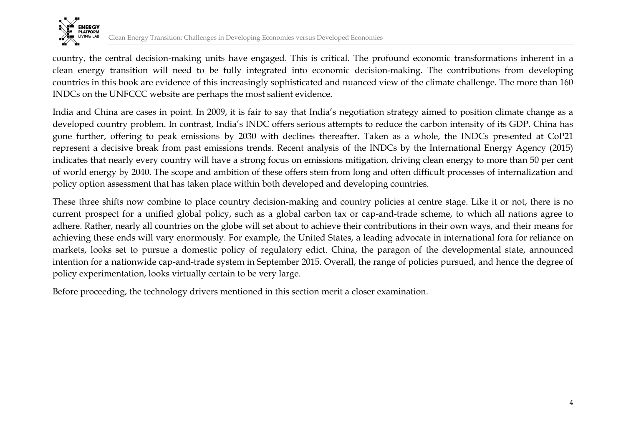

country, the central decision-making units have engaged. This is critical. The profound economic transformations inherent in a clean energy transition will need to be fully integrated into economic decision-making. The contributions from developing countries in this book are evidence of this increasingly sophisticated and nuanced view of the climate challenge. The more than 160 INDCs on the UNFCCC website are perhaps the most salient evidence.

India and China are cases in point. In 2009, it is fair to say that India's negotiation strategy aimed to position climate change as a developed country problem. In contrast, India's INDC offers serious attempts to reduce the carbon intensity of its GDP. China has gone further, offering to peak emissions by 2030 with declines thereafter. Taken as a whole, the INDCs presented at CoP21 represent a decisive break from past emissions trends. Recent analysis of the INDCs by the International Energy Agency (2015) indicates that nearly every country will have a strong focus on emissions mitigation, driving clean energy to more than 50 per cent of world energy by 2040. The scope and ambition of these offers stem from long and often difficult processes of internalization and policy option assessment that has taken place within both developed and developing countries.

These three shifts now combine to place country decision-making and country policies at centre stage. Like it or not, there is no current prospect for a unified global policy, such as a global carbon tax or cap-and-trade scheme, to which all nations agree to adhere. Rather, nearly all countries on the globe will set about to achieve their contributions in their own ways, and their means for achieving these ends will vary enormously. For example, the United States, a leading advocate in international fora for reliance on markets, looks set to pursue a domestic policy of regulatory edict. China, the paragon of the developmental state, announced intention for a nationwide cap-and-trade system in September 2015. Overall, the range of policies pursued, and hence the degree of policy experimentation, looks virtually certain to be very large.

Before proceeding, the technology drivers mentioned in this section merit a closer examination.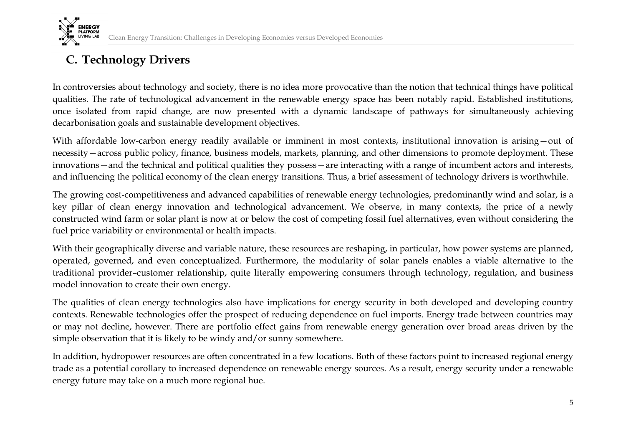

# **C. Technology Drivers**

In controversies about technology and society, there is no idea more provocative than the notion that technical things have political qualities. The rate of technological advancement in the renewable energy space has been notably rapid. Established institutions, once isolated from rapid change, are now presented with a dynamic landscape of pathways for simultaneously achieving decarbonisation goals and sustainable development objectives.

With affordable low-carbon energy readily available or imminent in most contexts, institutional innovation is arising—out of necessity—across public policy, finance, business models, markets, planning, and other dimensions to promote deployment. These innovations—and the technical and political qualities they possess—are interacting with a range of incumbent actors and interests, and influencing the political economy of the clean energy transitions. Thus, a brief assessment of technology drivers is worthwhile.

The growing cost-competitiveness and advanced capabilities of renewable energy technologies, predominantly wind and solar, is a key pillar of clean energy innovation and technological advancement. We observe, in many contexts, the price of a newly constructed wind farm or solar plant is now at or below the cost of competing fossil fuel alternatives, even without considering the fuel price variability or environmental or health impacts.

With their geographically diverse and variable nature, these resources are reshaping, in particular, how power systems are planned, operated, governed, and even conceptualized. Furthermore, the modularity of solar panels enables a viable alternative to the traditional provider–customer relationship, quite literally empowering consumers through technology, regulation, and business model innovation to create their own energy.

The qualities of clean energy technologies also have implications for energy security in both developed and developing country contexts. Renewable technologies offer the prospect of reducing dependence on fuel imports. Energy trade between countries may or may not decline, however. There are portfolio effect gains from renewable energy generation over broad areas driven by the simple observation that it is likely to be windy and/or sunny somewhere.

In addition, hydropower resources are often concentrated in a few locations. Both of these factors point to increased regional energy trade as a potential corollary to increased dependence on renewable energy sources. As a result, energy security under a renewable energy future may take on a much more regional hue.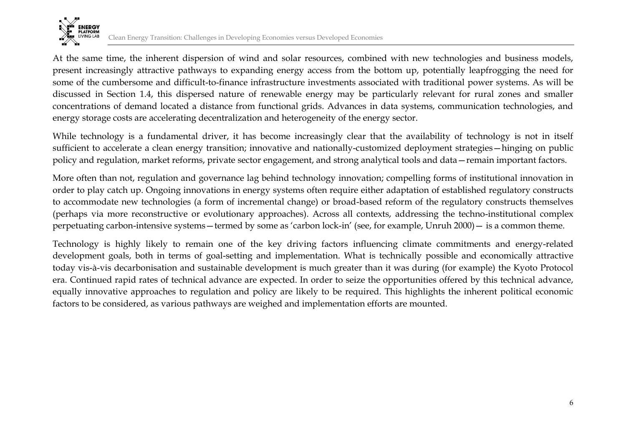

At the same time, the inherent dispersion of wind and solar resources, combined with new technologies and business models, present increasingly attractive pathways to expanding energy access from the bottom up, potentially leapfrogging the need for some of the cumbersome and difficult-to-finance infrastructure investments associated with traditional power systems. As will be discussed in Section 1.4, this dispersed nature of renewable energy may be particularly relevant for rural zones and smaller concentrations of demand located a distance from functional grids. Advances in data systems, communication technologies, and energy storage costs are accelerating decentralization and heterogeneity of the energy sector.

While technology is a fundamental driver, it has become increasingly clear that the availability of technology is not in itself sufficient to accelerate a clean energy transition; innovative and nationally-customized deployment strategies—hinging on public policy and regulation, market reforms, private sector engagement, and strong analytical tools and data—remain important factors.

More often than not, regulation and governance lag behind technology innovation; compelling forms of institutional innovation in order to play catch up. Ongoing innovations in energy systems often require either adaptation of established regulatory constructs to accommodate new technologies (a form of incremental change) or broad-based reform of the regulatory constructs themselves (perhaps via more reconstructive or evolutionary approaches). Across all contexts, addressing the techno-institutional complex perpetuating carbon-intensive systems—termed by some as 'carbon lock-in' (see, for example, Unruh 2000)— is a common theme.

Technology is highly likely to remain one of the key driving factors influencing climate commitments and energy-related development goals, both in terms of goal-setting and implementation. What is technically possible and economically attractive today vis-à-vis decarbonisation and sustainable development is much greater than it was during (for example) the Kyoto Protocol era. Continued rapid rates of technical advance are expected. In order to seize the opportunities offered by this technical advance, equally innovative approaches to regulation and policy are likely to be required. This highlights the inherent political economic factors to be considered, as various pathways are weighed and implementation efforts are mounted.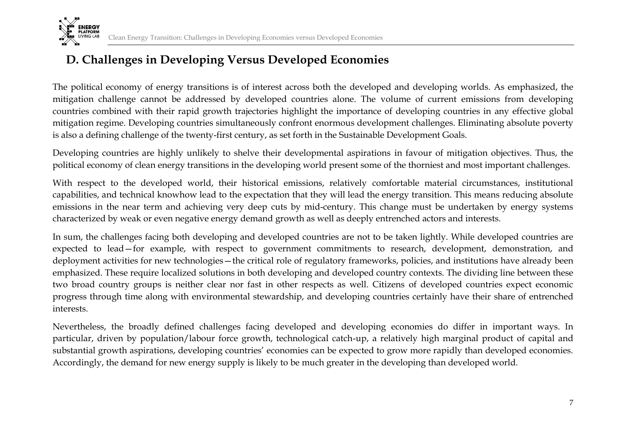

## **D. Challenges in Developing Versus Developed Economies**

The political economy of energy transitions is of interest across both the developed and developing worlds. As emphasized, the mitigation challenge cannot be addressed by developed countries alone. The volume of current emissions from developing countries combined with their rapid growth trajectories highlight the importance of developing countries in any effective global mitigation regime. Developing countries simultaneously confront enormous development challenges. Eliminating absolute poverty is also a defining challenge of the twenty-first century, as set forth in the Sustainable Development Goals.

Developing countries are highly unlikely to shelve their developmental aspirations in favour of mitigation objectives. Thus, the political economy of clean energy transitions in the developing world present some of the thorniest and most important challenges.

With respect to the developed world, their historical emissions, relatively comfortable material circumstances, institutional capabilities, and technical knowhow lead to the expectation that they will lead the energy transition. This means reducing absolute emissions in the near term and achieving very deep cuts by mid-century. This change must be undertaken by energy systems characterized by weak or even negative energy demand growth as well as deeply entrenched actors and interests.

In sum, the challenges facing both developing and developed countries are not to be taken lightly. While developed countries are expected to lead—for example, with respect to government commitments to research, development, demonstration, and deployment activities for new technologies—the critical role of regulatory frameworks, policies, and institutions have already been emphasized. These require localized solutions in both developing and developed country contexts. The dividing line between these two broad country groups is neither clear nor fast in other respects as well. Citizens of developed countries expect economic progress through time along with environmental stewardship, and developing countries certainly have their share of entrenched interests.

Nevertheless, the broadly defined challenges facing developed and developing economies do differ in important ways. In particular, driven by population/labour force growth, technological catch-up, a relatively high marginal product of capital and substantial growth aspirations, developing countries' economies can be expected to grow more rapidly than developed economies. Accordingly, the demand for new energy supply is likely to be much greater in the developing than developed world.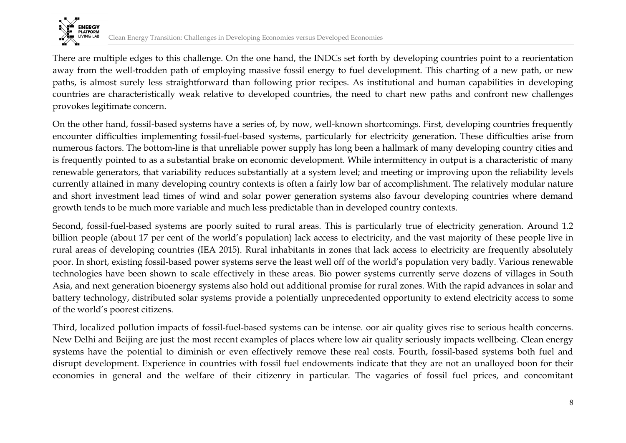

There are multiple edges to this challenge. On the one hand, the INDCs set forth by developing countries point to a reorientation away from the well-trodden path of employing massive fossil energy to fuel development. This charting of a new path, or new paths, is almost surely less straightforward than following prior recipes. As institutional and human capabilities in developing countries are characteristically weak relative to developed countries, the need to chart new paths and confront new challenges provokes legitimate concern.

On the other hand, fossil-based systems have a series of, by now, well-known shortcomings. First, developing countries frequently encounter difficulties implementing fossil-fuel-based systems, particularly for electricity generation. These difficulties arise from numerous factors. The bottom-line is that unreliable power supply has long been a hallmark of many developing country cities and is frequently pointed to as a substantial brake on economic development. While intermittency in output is a characteristic of many renewable generators, that variability reduces substantially at a system level; and meeting or improving upon the reliability levels currently attained in many developing country contexts is often a fairly low bar of accomplishment. The relatively modular nature and short investment lead times of wind and solar power generation systems also favour developing countries where demand growth tends to be much more variable and much less predictable than in developed country contexts.

Second, fossil-fuel-based systems are poorly suited to rural areas. This is particularly true of electricity generation. Around 1.2 billion people (about 17 per cent of the world's population) lack access to electricity, and the vast majority of these people live in rural areas of developing countries (IEA 2015). Rural inhabitants in zones that lack access to electricity are frequently absolutely poor. In short, existing fossil-based power systems serve the least well off of the world's population very badly. Various renewable technologies have been shown to scale effectively in these areas. Bio power systems currently serve dozens of villages in South Asia, and next generation bioenergy systems also hold out additional promise for rural zones. With the rapid advances in solar and battery technology, distributed solar systems provide a potentially unprecedented opportunity to extend electricity access to some of the world's poorest citizens.

Third, localized pollution impacts of fossil-fuel-based systems can be intense. oor air quality gives rise to serious health concerns. New Delhi and Beijing are just the most recent examples of places where low air quality seriously impacts wellbeing. Clean energy systems have the potential to diminish or even effectively remove these real costs. Fourth, fossil-based systems both fuel and disrupt development. Experience in countries with fossil fuel endowments indicate that they are not an unalloyed boon for their economies in general and the welfare of their citizenry in particular. The vagaries of fossil fuel prices, and concomitant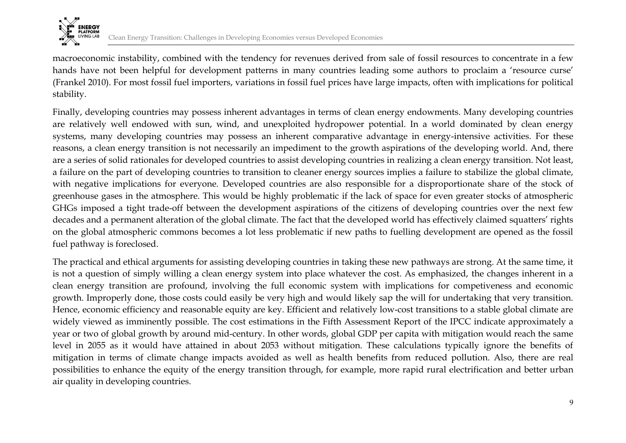

macroeconomic instability, combined with the tendency for revenues derived from sale of fossil resources to concentrate in a few hands have not been helpful for development patterns in many countries leading some authors to proclaim a 'resource curse' (Frankel 2010). For most fossil fuel importers, variations in fossil fuel prices have large impacts, often with implications for political stability.

Finally, developing countries may possess inherent advantages in terms of clean energy endowments. Many developing countries are relatively well endowed with sun, wind, and unexploited hydropower potential. In a world dominated by clean energy systems, many developing countries may possess an inherent comparative advantage in energy-intensive activities. For these reasons, a clean energy transition is not necessarily an impediment to the growth aspirations of the developing world. And, there are a series of solid rationales for developed countries to assist developing countries in realizing a clean energy transition. Not least, a failure on the part of developing countries to transition to cleaner energy sources implies a failure to stabilize the global climate, with negative implications for everyone. Developed countries are also responsible for a disproportionate share of the stock of greenhouse gases in the atmosphere. This would be highly problematic if the lack of space for even greater stocks of atmospheric GHGs imposed a tight trade-off between the development aspirations of the citizens of developing countries over the next few decades and a permanent alteration of the global climate. The fact that the developed world has effectively claimed squatters' rights on the global atmospheric commons becomes a lot less problematic if new paths to fuelling development are opened as the fossil fuel pathway is foreclosed.

The practical and ethical arguments for assisting developing countries in taking these new pathways are strong. At the same time, it is not a question of simply willing a clean energy system into place whatever the cost. As emphasized, the changes inherent in a clean energy transition are profound, involving the full economic system with implications for competiveness and economic growth. Improperly done, those costs could easily be very high and would likely sap the will for undertaking that very transition. Hence, economic efficiency and reasonable equity are key. Efficient and relatively low-cost transitions to a stable global climate are widely viewed as imminently possible. The cost estimations in the Fifth Assessment Report of the IPCC indicate approximately a year or two of global growth by around mid-century. In other words, global GDP per capita with mitigation would reach the same level in 2055 as it would have attained in about 2053 without mitigation. These calculations typically ignore the benefits of mitigation in terms of climate change impacts avoided as well as health benefits from reduced pollution. Also, there are real possibilities to enhance the equity of the energy transition through, for example, more rapid rural electrification and better urban air quality in developing countries.